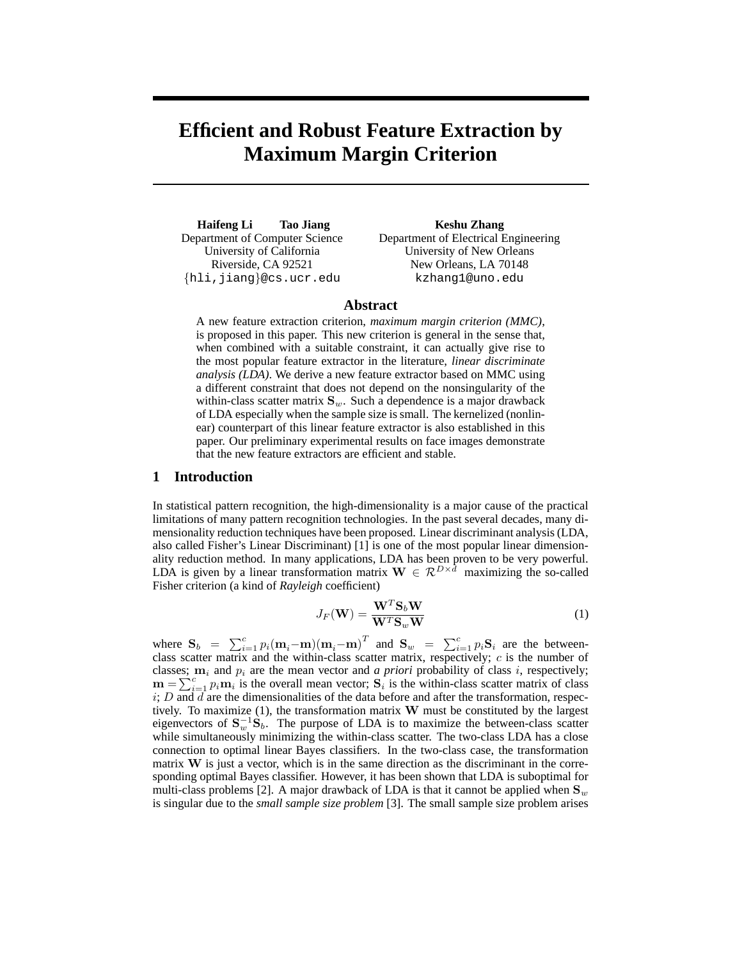# **Efficient and Robust Feature Extraction by Maximum Margin Criterion**

**Haifeng Li Tao Jiang** Department of Computer Science University of California Riverside, CA 92521 {hli,jiang}@cs.ucr.edu

**Keshu Zhang** Department of Electrical Engineering University of New Orleans New Orleans, LA 70148 kzhang1@uno.edu

## **Abstract**

A new feature extraction criterion, *maximum margin criterion (MMC)*, is proposed in this paper. This new criterion is general in the sense that, when combined with a suitable constraint, it can actually give rise to the most popular feature extractor in the literature, *linear discriminate analysis (LDA)*. We derive a new feature extractor based on MMC using a different constraint that does not depend on the nonsingularity of the within-class scatter matrix  $S_w$ . Such a dependence is a major drawback of LDA especially when the sample size is small. The kernelized (nonlinear) counterpart of this linear feature extractor is also established in this paper. Our preliminary experimental results on face images demonstrate that the new feature extractors are efficient and stable.

## **1 Introduction**

In statistical pattern recognition, the high-dimensionality is a major cause of the practical limitations of many pattern recognition technologies. In the past several decades, many dimensionality reduction techniques have been proposed. Linear discriminant analysis (LDA, also called Fisher's Linear Discriminant) [1] is one of the most popular linear dimensionality reduction method. In many applications, LDA has been proven to be very powerful. LDA is given by a linear transformation matrix  $\mathbf{W} \in \mathcal{R}^{D \times d}$  maximizing the so-called Fisher criterion (a kind of *Rayleigh* coefficient)

$$
J_F(\mathbf{W}) = \frac{\mathbf{W}^T \mathbf{S}_b \mathbf{W}}{\mathbf{W}^T \mathbf{S}_w \mathbf{W}}
$$
(1)

where  $S_b = \sum_{i=1}^{c} p_i (\mathbf{m}_i - \mathbf{m})(\mathbf{m}_i - \mathbf{m})^T$  and  $S_w = \sum_{i=1}^{c} p_i S_i$  are the betweenclass scatter matrix and the within-class scatter matrix, respectively;  $c$  is the number of classes;  $m_i$  and  $p_i$  are the mean vector and *a priori* probability of class *i*, respectively;  $\mathbf{m} = \sum_{i=1}^{c} p_i \mathbf{m}_i$  is the overall mean vector;  $\mathbf{S}_i$  is the within-class scatter matrix of class  $i; D$  and  $d$  are the dimensionalities of the data before and after the transformation, respectively. To maximize  $(1)$ , the transformation matrix W must be constituted by the largest eigenvectors of  $S_w^{-1}S_b$ . The purpose of LDA is to maximize the between-class scatter while simultaneously minimizing the within-class scatter. The two-class LDA has a close connection to optimal linear Bayes classifiers. In the two-class case, the transformation matrix  $W$  is just a vector, which is in the same direction as the discriminant in the corresponding optimal Bayes classifier. However, it has been shown that LDA is suboptimal for multi-class problems [2]. A major drawback of LDA is that it cannot be applied when  $S_w$ is singular due to the *small sample size problem* [3]. The small sample size problem arises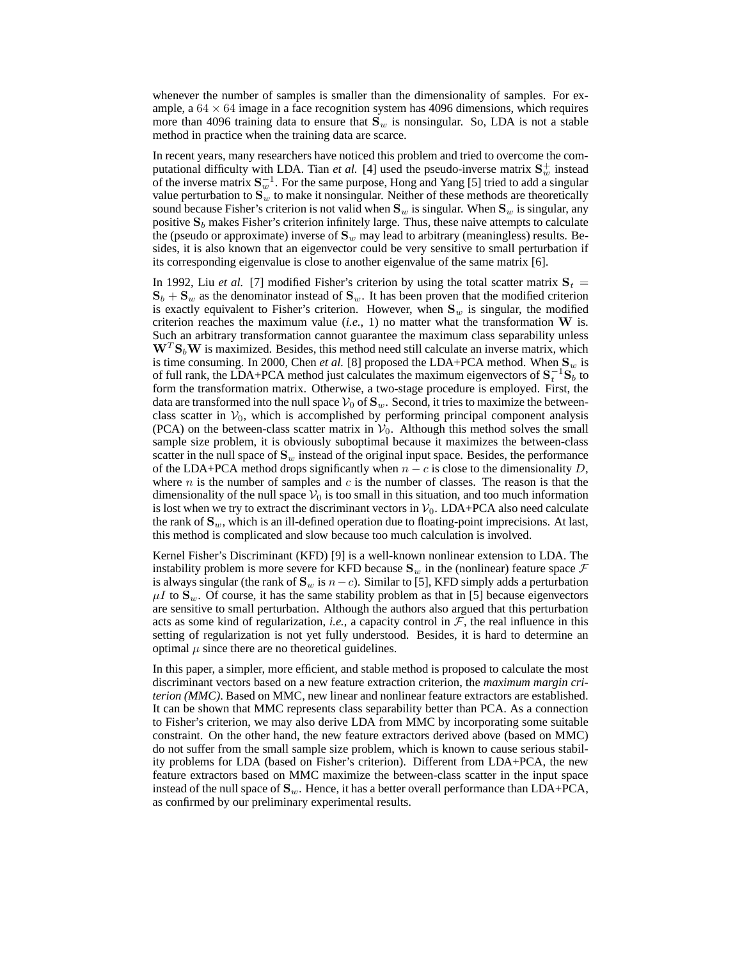whenever the number of samples is smaller than the dimensionality of samples. For example, a  $64 \times 64$  image in a face recognition system has 4096 dimensions, which requires more than 4096 training data to ensure that  $S_w$  is nonsingular. So, LDA is not a stable method in practice when the training data are scarce.

In recent years, many researchers have noticed this problem and tried to overcome the computational difficulty with LDA. Tian *et al.* [4] used the pseudo-inverse matrix  $S_w^+$  instead of the inverse matrix  $S_w^{-1}$ . For the same purpose, Hong and Yang [5] tried to add a singular value perturbation to  $S_w$  to make it nonsingular. Neither of these methods are theoretically sound because Fisher's criterion is not valid when  $S_w$  is singular. When  $S_w$  is singular, any positive  $S_b$  makes Fisher's criterion infinitely large. Thus, these naive attempts to calculate the (pseudo or approximate) inverse of  $S_w$  may lead to arbitrary (meaningless) results. Besides, it is also known that an eigenvector could be very sensitive to small perturbation if its corresponding eigenvalue is close to another eigenvalue of the same matrix [6].

In 1992, Liu *et al.* [7] modified Fisher's criterion by using the total scatter matrix  $S_t$  =  $S_b + S_w$  as the denominator instead of  $S_w$ . It has been proven that the modified criterion is exactly equivalent to Fisher's criterion. However, when  $S_w$  is singular, the modified criterion reaches the maximum value  $(i.e., 1)$  no matter what the transformation  $W$  is. Such an arbitrary transformation cannot guarantee the maximum class separability unless  $W<sup>T</sup>S<sub>b</sub>W$  is maximized. Besides, this method need still calculate an inverse matrix, which is time consuming. In 2000, Chen *et al.* [8] proposed the LDA+PCA method. When  $S_w$  is of full rank, the LDA+PCA method just calculates the maximum eigenvectors of  $S_t^{-1}S_b$  to form the transformation matrix. Otherwise, a two-stage procedure is employed. First, the data are transformed into the null space  $V_0$  of  $S_w$ . Second, it tries to maximize the betweenclass scatter in  $V_0$ , which is accomplished by performing principal component analysis (PCA) on the between-class scatter matrix in  $V_0$ . Although this method solves the small sample size problem, it is obviously suboptimal because it maximizes the between-class scatter in the null space of  $S_w$  instead of the original input space. Besides, the performance of the LDA+PCA method drops significantly when  $n - c$  is close to the dimensionality D, where n is the number of samples and c is the number of classes. The reason is that the dimensionality of the null space  $V_0$  is too small in this situation, and too much information is lost when we try to extract the discriminant vectors in  $V_0$ . LDA+PCA also need calculate the rank of  $S_w$ , which is an ill-defined operation due to floating-point imprecisions. At last, this method is complicated and slow because too much calculation is involved.

Kernel Fisher's Discriminant (KFD) [9] is a well-known nonlinear extension to LDA. The instability problem is more severe for KFD because  $S_w$  in the (nonlinear) feature space  $\mathcal F$ is always singular (the rank of  $S_w$  is  $n-c$ ). Similar to [5], KFD simply adds a perturbation  $\mu I$  to  $S_w$ . Of course, it has the same stability problem as that in [5] because eigenvectors are sensitive to small perturbation. Although the authors also argued that this perturbation acts as some kind of regularization, *i.e.*, a capacity control in  $F$ , the real influence in this setting of regularization is not yet fully understood. Besides, it is hard to determine an optimal  $\mu$  since there are no theoretical guidelines.

In this paper, a simpler, more efficient, and stable method is proposed to calculate the most discriminant vectors based on a new feature extraction criterion, the *maximum margin criterion (MMC)*. Based on MMC, new linear and nonlinear feature extractors are established. It can be shown that MMC represents class separability better than PCA. As a connection to Fisher's criterion, we may also derive LDA from MMC by incorporating some suitable constraint. On the other hand, the new feature extractors derived above (based on MMC) do not suffer from the small sample size problem, which is known to cause serious stability problems for LDA (based on Fisher's criterion). Different from LDA+PCA, the new feature extractors based on MMC maximize the between-class scatter in the input space instead of the null space of  $S_w$ . Hence, it has a better overall performance than LDA+PCA, as confirmed by our preliminary experimental results.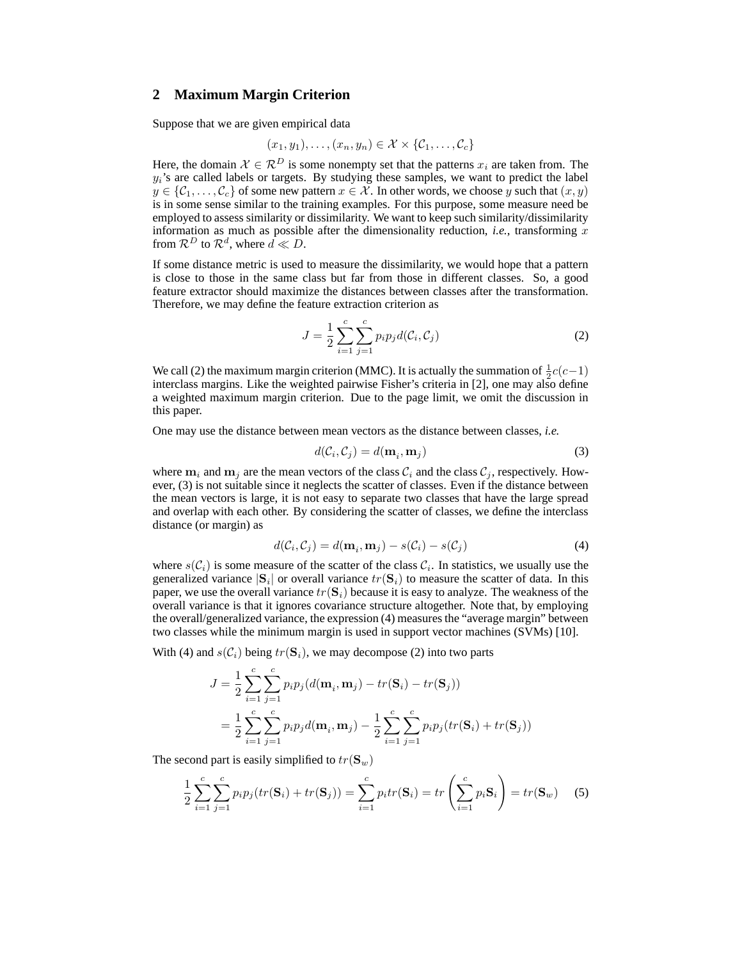# **2 Maximum Margin Criterion**

Suppose that we are given empirical data

$$
(x_1,y_1),\ldots,(x_n,y_n)\in\mathcal{X}\times\{\mathcal{C}_1,\ldots,\mathcal{C}_c\}
$$

Here, the domain  $X \in \mathcal{R}^D$  is some nonempty set that the patterns  $x_i$  are taken from. The  $y_i$ 's are called labels or targets. By studying these samples, we want to predict the label  $y \in \{C_1, \ldots, C_c\}$  of some new pattern  $x \in \mathcal{X}$ . In other words, we choose y such that  $(x, y)$ is in some sense similar to the training examples. For this purpose, some measure need be employed to assess similarity or dissimilarity. We want to keep such similarity/dissimilarity information as much as possible after the dimensionality reduction, *i.e.*, transforming  $x$ from  $\mathcal{R}^D$  to  $\mathcal{R}^d$ , where  $\tilde{d} \ll D$ .

If some distance metric is used to measure the dissimilarity, we would hope that a pattern is close to those in the same class but far from those in different classes. So, a good feature extractor should maximize the distances between classes after the transformation. Therefore, we may define the feature extraction criterion as

$$
J = \frac{1}{2} \sum_{i=1}^{c} \sum_{j=1}^{c} p_i p_j d(\mathcal{C}_i, \mathcal{C}_j)
$$
 (2)

We call (2) the maximum margin criterion (MMC). It is actually the summation of  $\frac{1}{2}c(c-1)$ interclass margins. Like the weighted pairwise Fisher's criteria in [2], one may also define a weighted maximum margin criterion. Due to the page limit, we omit the discussion in this paper.

One may use the distance between mean vectors as the distance between classes, *i.e.*

$$
d(\mathcal{C}_i, \mathcal{C}_j) = d(\mathbf{m}_i, \mathbf{m}_j) \tag{3}
$$

where  $m_i$  and  $m_j$  are the mean vectors of the class  $C_i$  and the class  $C_j$ , respectively. However, (3) is not suitable since it neglects the scatter of classes. Even if the distance between the mean vectors is large, it is not easy to separate two classes that have the large spread and overlap with each other. By considering the scatter of classes, we define the interclass distance (or margin) as

$$
d(C_i, C_j) = d(\mathbf{m}_i, \mathbf{m}_j) - s(C_i) - s(C_j)
$$
\n(4)

where  $s(C_i)$  is some measure of the scatter of the class  $C_i$ . In statistics, we usually use the generalized variance  $|S_i|$  or overall variance  $tr(S_i)$  to measure the scatter of data. In this paper, we use the overall variance  $tr(S_i)$  because it is easy to analyze. The weakness of the overall variance is that it ignores covariance structure altogether. Note that, by employing the overall/generalized variance, the expression (4) measures the "average margin" between two classes while the minimum margin is used in support vector machines (SVMs) [10].

With (4) and  $s(C_i)$  being  $tr(S_i)$ , we may decompose (2) into two parts

$$
J = \frac{1}{2} \sum_{i=1}^{c} \sum_{j=1}^{c} p_i p_j (d(\mathbf{m}_i, \mathbf{m}_j) - tr(\mathbf{S}_i) - tr(\mathbf{S}_j))
$$
  
= 
$$
\frac{1}{2} \sum_{i=1}^{c} \sum_{j=1}^{c} p_i p_j d(\mathbf{m}_i, \mathbf{m}_j) - \frac{1}{2} \sum_{i=1}^{c} \sum_{j=1}^{c} p_i p_j (tr(\mathbf{S}_i) + tr(\mathbf{S}_j))
$$

The second part is easily simplified to  $tr(\mathbf{S}_w)$ 

$$
\frac{1}{2} \sum_{i=1}^{c} \sum_{j=1}^{c} p_i p_j (tr(\mathbf{S}_i) + tr(\mathbf{S}_j)) = \sum_{i=1}^{c} p_i tr(\mathbf{S}_i) = tr\left(\sum_{i=1}^{c} p_i \mathbf{S}_i\right) = tr(\mathbf{S}_w)
$$
(5)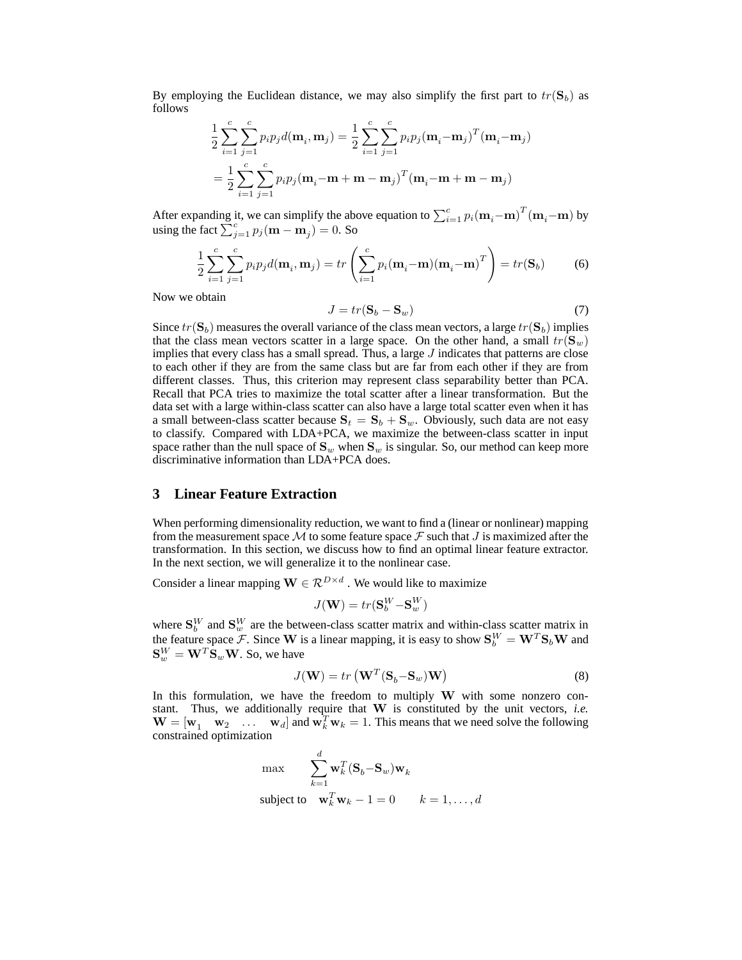By employing the Euclidean distance, we may also simplify the first part to  $tr(S_b)$  as follows

$$
\frac{1}{2} \sum_{i=1}^{c} \sum_{j=1}^{c} p_i p_j d(\mathbf{m}_i, \mathbf{m}_j) = \frac{1}{2} \sum_{i=1}^{c} \sum_{j=1}^{c} p_i p_j (\mathbf{m}_i - \mathbf{m}_j)^T (\mathbf{m}_i - \mathbf{m}_j)
$$

$$
= \frac{1}{2} \sum_{i=1}^{c} \sum_{j=1}^{c} p_i p_j (\mathbf{m}_i - \mathbf{m} + \mathbf{m} - \mathbf{m}_j)^T (\mathbf{m}_i - \mathbf{m} + \mathbf{m} - \mathbf{m}_j)
$$

After expanding it, we can simplify the above equation to  $\sum_{i=1}^{c} p_i (\mathbf{m}_i - \mathbf{m})^T (\mathbf{m}_i - \mathbf{m})$  by using the fact  $\sum_{j=1}^{c} p_j (\mathbf{m} - \mathbf{m}_j) = 0$ . So

$$
\frac{1}{2}\sum_{i=1}^{c}\sum_{j=1}^{c}p_{i}p_{j}d(\mathbf{m}_{i}, \mathbf{m}_{j}) = tr\left(\sum_{i=1}^{c}p_{i}(\mathbf{m}_{i} - \mathbf{m})(\mathbf{m}_{i} - \mathbf{m})^{T}\right) = tr(\mathbf{S}_{b})
$$
(6)

Now we obtain

$$
J = tr(\mathbf{S}_b - \mathbf{S}_w) \tag{7}
$$

Since  $tr(S_b)$  measures the overall variance of the class mean vectors, a large  $tr(S_b)$  implies that the class mean vectors scatter in a large space. On the other hand, a small  $tr(S_w)$ implies that every class has a small spread. Thus, a large  $J$  indicates that patterns are close to each other if they are from the same class but are far from each other if they are from different classes. Thus, this criterion may represent class separability better than PCA. Recall that PCA tries to maximize the total scatter after a linear transformation. But the data set with a large within-class scatter can also have a large total scatter even when it has a small between-class scatter because  $S_t = S_b + S_w$ . Obviously, such data are not easy to classify. Compared with LDA+PCA, we maximize the between-class scatter in input space rather than the null space of  $S_w$  when  $S_w$  is singular. So, our method can keep more discriminative information than LDA+PCA does.

# **3 Linear Feature Extraction**

When performing dimensionality reduction, we want to find a (linear or nonlinear) mapping from the measurement space M to some feature space F such that J is maximized after the transformation. In this section, we discuss how to find an optimal linear feature extractor. In the next section, we will generalize it to the nonlinear case.

Consider a linear mapping  $\mathbf{W} \in \mathcal{R}^{D \times d}$  . We would like to maximize

$$
J(\mathbf{W}) = tr(\mathbf{S}_b^W - \mathbf{S}_w^W)
$$

where  $S_b^W$  and  $S_w^W$  are the between-class scatter matrix and within-class scatter matrix in the feature space F. Since W is a linear mapping, it is easy to show  $S_b^W = W^T S_b W$  and  $\mathbf{S}_w^W = \mathbf{W}^T \mathbf{S}_w \mathbf{W}$ . So, we have

$$
J(\mathbf{W}) = tr\left(\mathbf{W}^T (\mathbf{S}_b - \mathbf{S}_w)\mathbf{W}\right) \tag{8}
$$

In this formulation, we have the freedom to multiply  $W$  with some nonzero constant. Thus, we additionally require that W is constituted by the unit vectors, *i.e.*  $\mathbf{W} = [\mathbf{w}_1 \quad \mathbf{w}_2 \quad \dots \quad \mathbf{w}_d]$  and  $\mathbf{w}_k^T \mathbf{w}_k = 1$ . This means that we need solve the following constrained optimization

$$
\max_{k=1} \sum_{k=1}^{d} \mathbf{w}_k^T (\mathbf{S}_b - \mathbf{S}_w) \mathbf{w}_k
$$
  
subject to 
$$
\mathbf{w}_k^T \mathbf{w}_k - 1 = 0 \qquad k = 1, ..., d
$$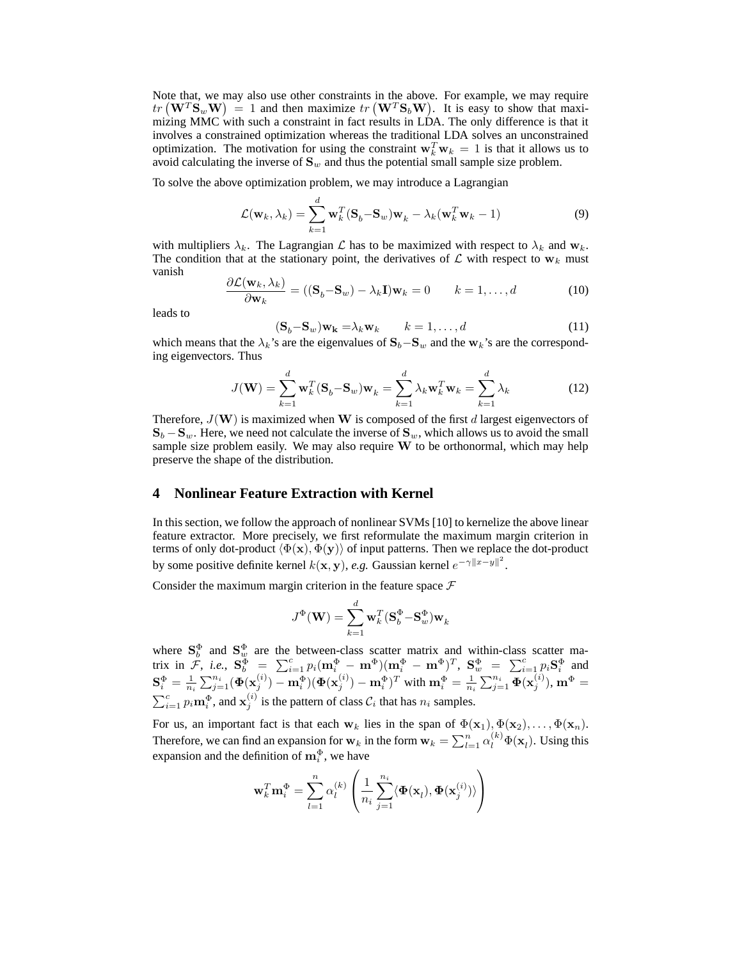Note that, we may also use other constraints in the above. For example, we may require  $tr(W^T S_w W) = 1$  and then maximize  $tr(W^T S_b W)$ . It is easy to show that maximizing MMC with such a constraint in fact results in LDA. The only difference is that it involves a constrained optimization whereas the traditional LDA solves an unconstrained optimization. The motivation for using the constraint  $\mathbf{w}_k^T \mathbf{w}_k = 1$  is that it allows us to avoid calculating the inverse of  $S_w$  and thus the potential small sample size problem.

To solve the above optimization problem, we may introduce a Lagrangian

$$
\mathcal{L}(\mathbf{w}_k, \lambda_k) = \sum_{k=1}^d \mathbf{w}_k^T (\mathbf{S}_b - \mathbf{S}_w) \mathbf{w}_k - \lambda_k (\mathbf{w}_k^T \mathbf{w}_k - 1)
$$
(9)

with multipliers  $\lambda_k$ . The Lagrangian  $\mathcal L$  has to be maximized with respect to  $\lambda_k$  and  $w_k$ . The condition that at the stationary point, the derivatives of  $\mathcal L$  with respect to  $w_k$  must vanish

$$
\frac{\partial \mathcal{L}(\mathbf{w}_k, \lambda_k)}{\partial \mathbf{w}_k} = ((\mathbf{S}_b - \mathbf{S}_w) - \lambda_k \mathbf{I}) \mathbf{w}_k = 0 \qquad k = 1, ..., d
$$
 (10)

leads to

$$
(\mathbf{S}_b - \mathbf{S}_w)\mathbf{w}_k = \lambda_k \mathbf{w}_k \qquad k = 1, \dots, d \tag{11}
$$

which means that the  $\lambda_k$ 's are the eigenvalues of  $S_b-S_w$  and the w<sub>k</sub>'s are the corresponding eigenvectors. Thus

$$
J(\mathbf{W}) = \sum_{k=1}^{d} \mathbf{w}_k^T (\mathbf{S}_b - \mathbf{S}_w) \mathbf{w}_k = \sum_{k=1}^{d} \lambda_k \mathbf{w}_k^T \mathbf{w}_k = \sum_{k=1}^{d} \lambda_k
$$
 (12)

Therefore,  $J(\mathbf{W})$  is maximized when W is composed of the first d largest eigenvectors of  $\mathbf{S}_b - \mathbf{S}_w$ . Here, we need not calculate the inverse of  $\mathbf{S}_w$ , which allows us to avoid the small sample size problem easily. We may also require W to be orthonormal, which may help preserve the shape of the distribution.

# **4 Nonlinear Feature Extraction with Kernel**

In this section, we follow the approach of nonlinear SVMs [10] to kernelize the above linear feature extractor. More precisely, we first reformulate the maximum margin criterion in terms of only dot-product  $\langle \Phi(\mathbf{x}), \Phi(\mathbf{y}) \rangle$  of input patterns. Then we replace the dot-product by some positive definite kernel  $k(x, y)$ , *e.g.* Gaussian kernel  $e^{-\gamma ||x-y||^2}$ .

Consider the maximum margin criterion in the feature space  $\mathcal F$ 

$$
J^{\Phi}(\mathbf{W}) = \sum_{k=1}^d \mathbf{w}_k^T (\mathbf{S}_b^{\Phi} - \mathbf{S}_w^{\Phi}) \mathbf{w}_k
$$

where  $S_b^{\Phi}$  and  $S_w^{\Phi}$  are the between-class scatter matrix and within-class scatter matrix in  $\mathcal{F}, i.e., \ \mathbf{S}_{b}^{\Phi} \ \ = \ \ \sum_{i=1}^{c} p_i (\mathbf{m}_i^{\Phi} - \mathbf{m}^{\Phi}) (\mathbf{m}_i^{\Phi} - \mathbf{m}^{\Phi})^T, \ \mathbf{S}_{w}^{\Phi} \ = \ \ \sum_{i=1}^{c} p_i \mathbf{S}_i^{\Phi}$  and  $\mathbf{S}_i^\Phi = \frac{1}{n_i}\sum_{j=1}^{n_i}(\boldsymbol{\Phi}(\mathbf{x}^{(i)}_j) - \mathbf{m}^\Phi_i)(\boldsymbol{\Phi}(\mathbf{x}^{(i)}_j) - \mathbf{m}^\Phi_i)^T$  with  $\mathbf{m}^\Phi_i = \frac{1}{n_i}\sum_{j=1}^{n_i}\boldsymbol{\Phi}(\mathbf{x}^{(i)}_j), \mathbf{m}^\Phi =$  $\sum_{i=1}^{c} p_i \mathbf{m}_i^{\Phi}$ , and  $\mathbf{x}_j^{(i)}$  is the pattern of class  $\mathcal{C}_i$  that has  $n_i$  samples.

For us, an important fact is that each  $w_k$  lies in the span of  $\Phi(\mathbf{x}_1), \Phi(\mathbf{x}_2), \dots, \Phi(\mathbf{x}_n)$ . Therefore, we can find an expansion for  $w_k$  in the form  $w_k = \sum_{l=1}^n \alpha_l^{(k)} \Phi(\mathbf{x}_l)$ . Using this expansion and the definition of  $\mathbf{m}_i^{\Phi}$ , we have

$$
\mathbf{w}_k^T \mathbf{m}_i^{\Phi} = \sum_{l=1}^n \alpha_l^{(k)} \left( \frac{1}{n_i} \sum_{j=1}^{n_i} \langle \pmb{\Phi}(\mathbf{x}_l), \pmb{\Phi}(\mathbf{x}_j^{(i)}) \rangle \right)
$$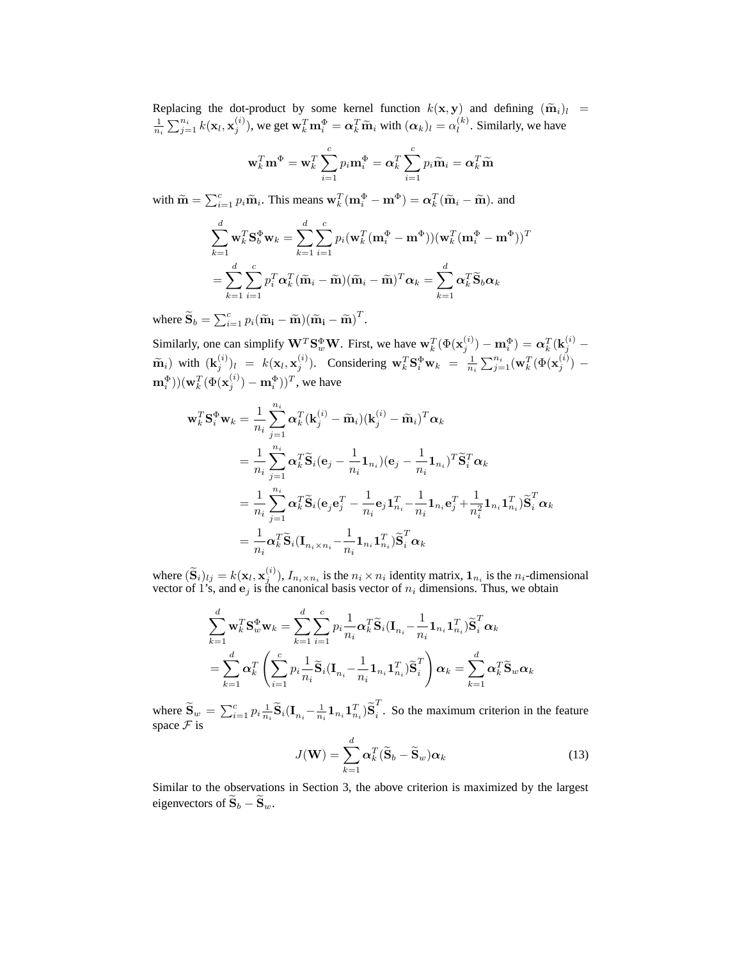Replacing the dot-product by some kernel function  $k(\mathbf{x}, \mathbf{y})$  and defining  $(\tilde{\mathbf{m}}_i)_l = \frac{1}{n_i} \sum_{j=1}^{n_i} k(\mathbf{x}_l, \mathbf{x}_j^{(i)})$ , we get  $\mathbf{w}_k^T \mathbf{m}_i^{\Phi} = \alpha_k^T \tilde{\mathbf{m}}_i$  with  $(\alpha_k)_l = \alpha_l^{(k)}$ . Similarly, we have  $\binom{k}{l}$ . Similarly, we have

$$
\mathbf{w}_k^T \mathbf{m}^{\Phi} = \mathbf{w}_k^T \sum_{i=1}^c p_i \mathbf{m}_i^{\Phi} = \alpha_k^T \sum_{i=1}^c p_i \widetilde{\mathbf{m}}_i = \alpha_k^T \widetilde{\mathbf{m}}
$$

with  $\widetilde{\mathbf{m}} = \sum_{i=1}^{c} p_i \widetilde{\mathbf{m}}_i$ . This means  $\mathbf{w}_k^T (\mathbf{m}_i^{\Phi} - \mathbf{m}^{\Phi}) = \boldsymbol{\alpha}_k^T (\widetilde{\mathbf{m}}_i - \widetilde{\mathbf{m}})$ . and

$$
\sum_{k=1}^{d} \mathbf{w}_{k}^{T} \mathbf{S}_{b}^{\Phi} \mathbf{w}_{k} = \sum_{k=1}^{d} \sum_{i=1}^{c} p_{i} (\mathbf{w}_{k}^{T} (\mathbf{m}_{i}^{\Phi} - \mathbf{m}^{\Phi})) (\mathbf{w}_{k}^{T} (\mathbf{m}_{i}^{\Phi} - \mathbf{m}^{\Phi}))^{T}
$$

$$
= \sum_{k=1}^{d} \sum_{i=1}^{c} p_{i}^{T} \alpha_{k}^{T} (\widetilde{\mathbf{m}}_{i} - \widetilde{\mathbf{m}}) (\widetilde{\mathbf{m}}_{i} - \widetilde{\mathbf{m}})^{T} \alpha_{k} = \sum_{k=1}^{d} \alpha_{k}^{T} \widetilde{\mathbf{S}}_{b} \alpha_{k}
$$

where  $\widetilde{\mathbf{S}}_b = \sum_{i=1}^c p_i (\widetilde{\mathbf{m}}_i - \widetilde{\mathbf{m}}) (\widetilde{\mathbf{m}}_i - \widetilde{\mathbf{m}})^T$ .

Similarly, one can simplify  $\mathbf{W}^T \mathbf{S}_w^{\Phi} \mathbf{W}$ . First, we have  $\mathbf{w}_k^T (\Phi(\mathbf{x}_j^{(i)}) - \mathbf{m}_i^{\Phi}) = \boldsymbol{\alpha}_k^T (\mathbf{k}_j^{(i)} \widetilde{\mathbf{m}}_i$ ) with  $(\mathbf{k}_j^{(i)})_l = k(\mathbf{x}_l, \mathbf{x}_j^{(i)})$ . Considering  $\mathbf{w}_k^T \mathbf{S}_i^{\Phi} \mathbf{w}_k = \frac{1}{n_i} \sum_{j=1}^{n_i} (\mathbf{w}_k^T (\Phi(\mathbf{x}_j^{(i)}) - \mathbf{w}_k^T \mathbf{S}_i^{\Phi} \mathbf{w}_k))$  $(\mathbf{m}^\Phi_i))(\mathbf{w}^T_k(\Phi(\mathbf{x}^{(i)}_j)-\mathbf{m}^\Phi_i))^T,$  we have

$$
\mathbf{w}_k^T \mathbf{S}_i^{\Phi} \mathbf{w}_k = \frac{1}{n_i} \sum_{j=1}^{n_i} \alpha_k^T (\mathbf{k}_j^{(i)} - \widetilde{\mathbf{m}}_i) (\mathbf{k}_j^{(i)} - \widetilde{\mathbf{m}}_i)^T \alpha_k \n= \frac{1}{n_i} \sum_{j=1}^{n_i} \alpha_k^T \widetilde{\mathbf{S}}_i (\mathbf{e}_j - \frac{1}{n_i} \mathbf{1}_{n_i}) (\mathbf{e}_j - \frac{1}{n_i} \mathbf{1}_{n_i})^T \widetilde{\mathbf{S}}_i^T \alpha_k \n= \frac{1}{n_i} \sum_{j=1}^{n_i} \alpha_k^T \widetilde{\mathbf{S}}_i (\mathbf{e}_j \mathbf{e}_j^T - \frac{1}{n_i} \mathbf{e}_j \mathbf{1}_{n_i}^T - \frac{1}{n_i} \mathbf{1}_{n_i} \mathbf{e}_j^T + \frac{1}{n_i^2} \mathbf{1}_{n_i} \mathbf{1}_{n_i}^T) \widetilde{\mathbf{S}}_i^T \alpha_k \n= \frac{1}{n_i} \alpha_k^T \widetilde{\mathbf{S}}_i (\mathbf{I}_{n_i \times n_i} - \frac{1}{n_i} \mathbf{1}_{n_i} \mathbf{1}_{n_i}^T) \widetilde{\mathbf{S}}_i^T \alpha_k
$$

where  $(\widetilde{S}_i)_{lj} = k(\mathbf{x}_l, \mathbf{x}_j^{(i)})$ ,  $I_{n_i \times n_i}$  is the  $n_i \times n_i$  identity matrix,  $\mathbf{1}_{n_i}$  is the  $n_i$ -dimensional vector of 1's, and  $e_j$  is the canonical basis vector of  $n_i$  dimensions. Thus, we obtain

$$
\sum_{k=1}^d \mathbf{w}_k^T \mathbf{S}_w^{\Phi} \mathbf{w}_k = \sum_{k=1}^d \sum_{i=1}^c p_i \frac{1}{n_i} \alpha_k^T \widetilde{\mathbf{S}}_i (\mathbf{I}_{n_i} - \frac{1}{n_i} \mathbf{1}_{n_i} \mathbf{1}_{n_i}^T) \widetilde{\mathbf{S}}_i^T \alpha_k
$$
  
= 
$$
\sum_{k=1}^d \alpha_k^T \left( \sum_{i=1}^c p_i \frac{1}{n_i} \widetilde{\mathbf{S}}_i (\mathbf{I}_{n_i} - \frac{1}{n_i} \mathbf{1}_{n_i} \mathbf{1}_{n_i}^T) \widetilde{\mathbf{S}}_i^T \right) \alpha_k = \sum_{k=1}^d \alpha_k^T \widetilde{\mathbf{S}}_w \alpha_k
$$

where  $\widetilde{\mathbf{S}}_w = \sum_{i=1}^c p_i \frac{1}{n_i} \widetilde{\mathbf{S}}_i (\mathbf{I}_{n_i} - \frac{1}{n_i} \mathbf{1}_{n_i} \mathbf{1}_{n_i}^T) \widetilde{\mathbf{S}}_i^T$  $\frac{1}{i}$ . So the maximum criterion in the feature space  $\mathcal F$  is

$$
J(\mathbf{W}) = \sum_{k=1}^{d} \alpha_k^T (\widetilde{\mathbf{S}}_b - \widetilde{\mathbf{S}}_w) \alpha_k
$$
 (13)

Similar to the observations in Section 3, the above criterion is maximized by the largest eigenvectors of  $\widetilde{\mathbf{S}}_b - \widetilde{\mathbf{S}}_w$ .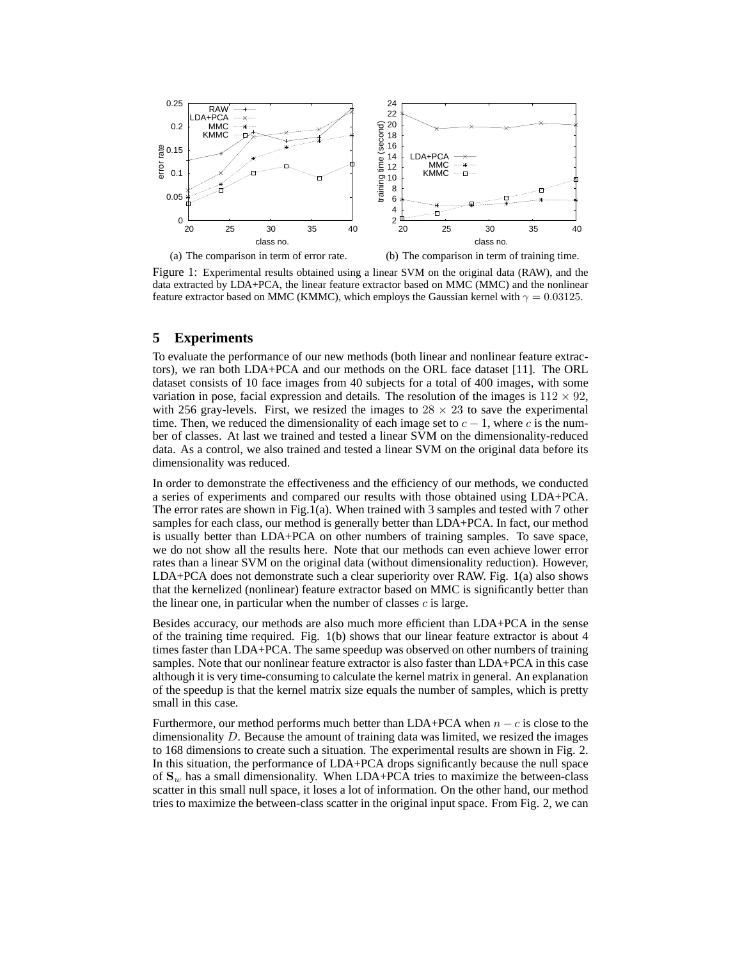

Figure 1: Experimental results obtained using a linear SVM on the original data (RAW), and the data extracted by LDA+PCA, the linear feature extractor based on MMC (MMC) and the nonlinear feature extractor based on MMC (KMMC), which employs the Gaussian kernel with  $\gamma = 0.03125$ .

# **5 Experiments**

To evaluate the performance of our new methods (both linear and nonlinear feature extractors), we ran both LDA+PCA and our methods on the ORL face dataset [11]. The ORL dataset consists of 10 face images from 40 subjects for a total of 400 images, with some variation in pose, facial expression and details. The resolution of the images is  $112 \times 92$ , with 256 gray-levels. First, we resized the images to  $28 \times 23$  to save the experimental time. Then, we reduced the dimensionality of each image set to  $c - 1$ , where c is the number of classes. At last we trained and tested a linear SVM on the dimensionality-reduced data. As a control, we also trained and tested a linear SVM on the original data before its dimensionality was reduced.

In order to demonstrate the effectiveness and the efficiency of our methods, we conducted a series of experiments and compared our results with those obtained using LDA+PCA. The error rates are shown in Fig.1(a). When trained with 3 samples and tested with 7 other samples for each class, our method is generally better than LDA+PCA. In fact, our method is usually better than LDA+PCA on other numbers of training samples. To save space, we do not show all the results here. Note that our methods can even achieve lower error rates than a linear SVM on the original data (without dimensionality reduction). However, LDA+PCA does not demonstrate such a clear superiority over RAW. Fig. 1(a) also shows that the kernelized (nonlinear) feature extractor based on MMC is significantly better than the linear one, in particular when the number of classes  $c$  is large.

Besides accuracy, our methods are also much more efficient than LDA+PCA in the sense of the training time required. Fig. 1(b) shows that our linear feature extractor is about 4 times faster than LDA+PCA. The same speedup was observed on other numbers of training samples. Note that our nonlinear feature extractor is also faster than LDA+PCA in this case although it is very time-consuming to calculate the kernel matrix in general. An explanation of the speedup is that the kernel matrix size equals the number of samples, which is pretty small in this case.

Furthermore, our method performs much better than LDA+PCA when  $n - c$  is close to the dimensionality D. Because the amount of training data was limited, we resized the images to 168 dimensions to create such a situation. The experimental results are shown in Fig. 2. In this situation, the performance of LDA+PCA drops significantly because the null space of  $S_w$  has a small dimensionality. When LDA+PCA tries to maximize the between-class scatter in this small null space, it loses a lot of information. On the other hand, our method tries to maximize the between-class scatter in the original input space. From Fig. 2, we can